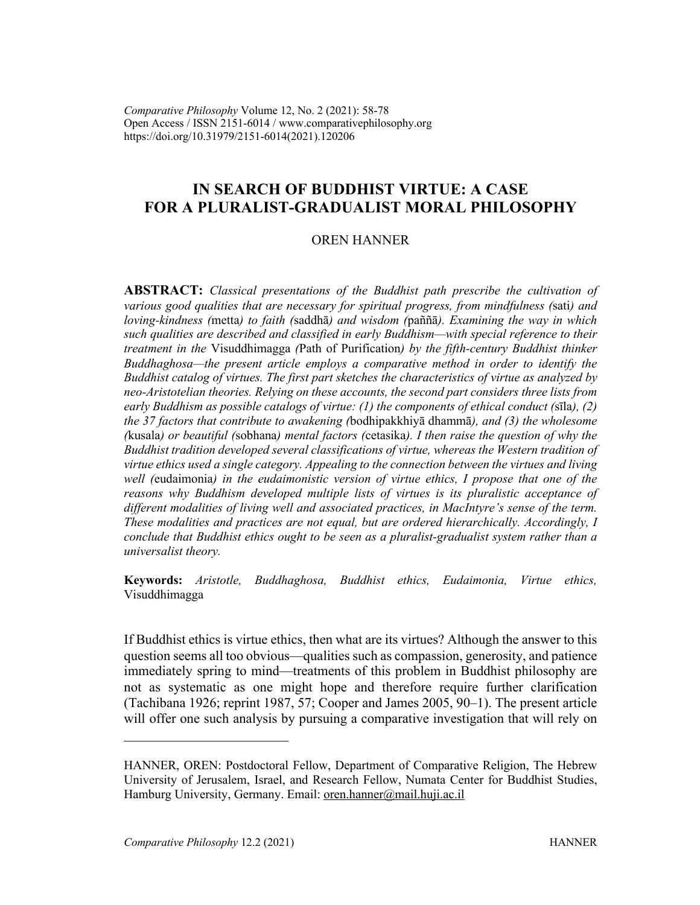*Comparative Philosophy* Volume 12, No. 2 (2021): 58-78 Open Access / ISSN 2151-6014 / www.comparativephilosophy.org https://doi.org/10.31979/2151-6014(2021).120206

# **IN SEARCH OF BUDDHIST VIRTUE: A CASE FOR A PLURALIST-GRADUALIST MORAL PHILOSOPHY**

### OREN HANNER

**ABSTRACT:** *Classical presentations of the Buddhist path prescribe the cultivation of various good qualities that are necessary for spiritual progress, from mindfulness (*sati*) and loving-kindness (*metta*) to faith (*saddhā*) and wisdom (*paññā*). Examining the way in which such qualities are described and classified in early Buddhism—with special reference to their treatment in the* Visuddhimagga *(*Path of Purification*) by the fifth-century Buddhist thinker Buddhaghosa—the present article employs a comparative method in order to identify the Buddhist catalog of virtues. The first part sketches the characteristics of virtue as analyzed by neo-Aristotelian theories. Relying on these accounts, the second part considers three lists from early Buddhism as possible catalogs of virtue: (1) the components of ethical conduct (*sīla*), (2) the 37 factors that contribute to awakening (*bodhipakkhiyā dhammā*), and (3) the wholesome (*kusala*) or beautiful (*sobhana*) mental factors (*cetasika*). I then raise the question of why the Buddhist tradition developed several classifications of virtue, whereas the Western tradition of virtue ethics used a single category. Appealing to the connection between the virtues and living well (*eudaimonia*) in the eudaimonistic version of virtue ethics, I propose that one of the reasons why Buddhism developed multiple lists of virtues is its pluralistic acceptance of different modalities of living well and associated practices, in MacIntyre's sense of the term. These modalities and practices are not equal, but are ordered hierarchically. Accordingly, I conclude that Buddhist ethics ought to be seen as a pluralist-gradualist system rather than a universalist theory.*

**Keywords:** *Aristotle, Buddhaghosa, Buddhist ethics, Eudaimonia, Virtue ethics,*  Visuddhimagga

If Buddhist ethics is virtue ethics, then what are its virtues? Although the answer to this question seems all too obvious—qualities such as compassion, generosity, and patience immediately spring to mind—treatments of this problem in Buddhist philosophy are not as systematic as one might hope and therefore require further clarification (Tachibana 1926; reprint 1987, 57; Cooper and James 2005, 90–1). The present article will offer one such analysis by pursuing a comparative investigation that will rely on

HANNER, OREN: Postdoctoral Fellow, Department of Comparative Religion, The Hebrew University of Jerusalem, Israel, and Research Fellow, Numata Center for Buddhist Studies, Hamburg University, Germany. Email: oren.hanner@mail.huji.ac.il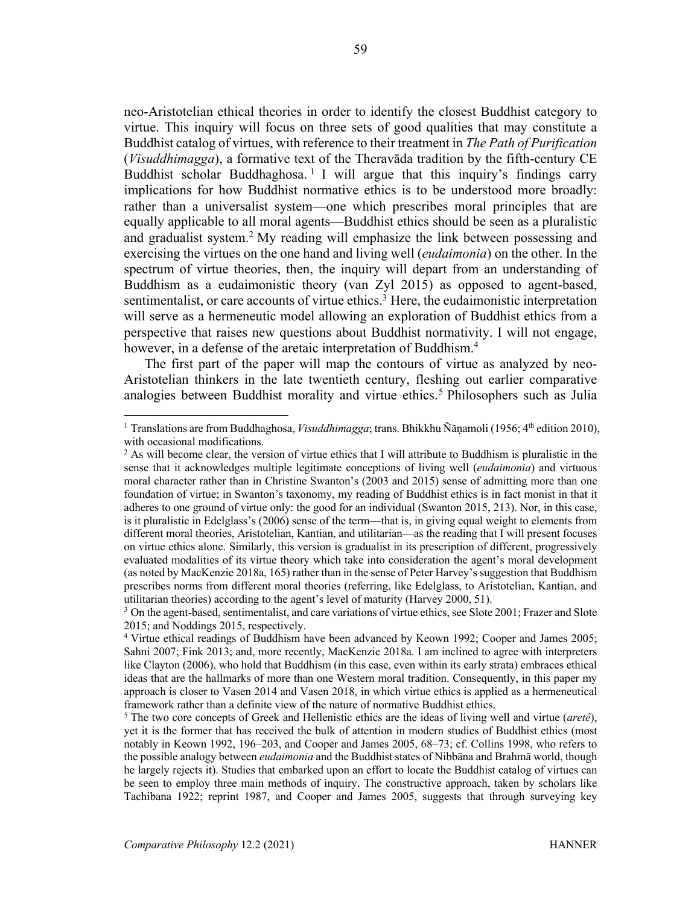neo-Aristotelian ethical theories in order to identify the closest Buddhist category to virtue. This inquiry will focus on three sets of good qualities that may constitute a Buddhist catalog of virtues, with reference to their treatment in *The Path of Purification* (*Visuddhimagga*), a formative text of the Theravāda tradition by the fifth-century CE Buddhist scholar Buddhaghosa.<sup>1</sup> I will argue that this inquiry's findings carry implications for how Buddhist normative ethics is to be understood more broadly: rather than a universalist system—one which prescribes moral principles that are equally applicable to all moral agents—Buddhist ethics should be seen as a pluralistic and gradualist system.<sup>2</sup> My reading will emphasize the link between possessing and exercising the virtues on the one hand and living well (*eudaimonia*) on the other. In the spectrum of virtue theories, then, the inquiry will depart from an understanding of Buddhism as a eudaimonistic theory (van Zyl 2015) as opposed to agent-based, sentimentalist, or care accounts of virtue ethics.<sup>3</sup> Here, the eudaimonistic interpretation will serve as a hermeneutic model allowing an exploration of Buddhist ethics from a perspective that raises new questions about Buddhist normativity. I will not engage, however, in a defense of the aretaic interpretation of Buddhism.<sup>4</sup>

The first part of the paper will map the contours of virtue as analyzed by neo-Aristotelian thinkers in the late twentieth century, fleshing out earlier comparative analogies between Buddhist morality and virtue ethics.<sup>5</sup> Philosophers such as Julia

<sup>&</sup>lt;sup>1</sup> Translations are from Buddhaghosa, *Visuddhimagga*; trans. Bhikkhu Ñānamoli (1956; 4<sup>th</sup> edition 2010), with occasional modifications.

 $<sup>2</sup>$  As will become clear, the version of virtue ethics that I will attribute to Buddhism is pluralistic in the</sup> sense that it acknowledges multiple legitimate conceptions of living well (*eudaimonia*) and virtuous moral character rather than in Christine Swanton's (2003 and 2015) sense of admitting more than one foundation of virtue; in Swanton's taxonomy, my reading of Buddhist ethics is in fact monist in that it adheres to one ground of virtue only: the good for an individual (Swanton 2015, 213). Nor, in this case, is it pluralistic in Edelglass's (2006) sense of the term—that is, in giving equal weight to elements from different moral theories, Aristotelian, Kantian, and utilitarian—as the reading that I will present focuses on virtue ethics alone. Similarly, this version is gradualist in its prescription of different, progressively evaluated modalities of its virtue theory which take into consideration the agent's moral development (as noted by MacKenzie 2018a, 165) rather than in the sense of Peter Harvey's suggestion that Buddhism prescribes norms from different moral theories (referring, like Edelglass, to Aristotelian, Kantian, and utilitarian theories) according to the agent's level of maturity (Harvey 2000, 51).

<sup>&</sup>lt;sup>3</sup> On the agent-based, sentimentalist, and care variations of virtue ethics, see Slote 2001; Frazer and Slote 2015; and Noddings 2015, respectively.

<sup>4</sup> Virtue ethical readings of Buddhism have been advanced by Keown 1992; Cooper and James 2005; Sahni 2007; Fink 2013; and, more recently, MacKenzie 2018a. I am inclined to agree with interpreters like Clayton (2006), who hold that Buddhism (in this case, even within its early strata) embraces ethical ideas that are the hallmarks of more than one Western moral tradition. Consequently, in this paper my approach is closer to Vasen 2014 and Vasen 2018, in which virtue ethics is applied as a hermeneutical framework rather than a definite view of the nature of normative Buddhist ethics.

<sup>5</sup> The two core concepts of Greek and Hellenistic ethics are the ideas of living well and virtue (*aretê*), yet it is the former that has received the bulk of attention in modern studies of Buddhist ethics (most notably in Keown 1992, 196–203, and Cooper and James 2005, 68–73; cf. Collins 1998, who refers to the possible analogy between *eudaimonia* and the Buddhist states of Nibbāna and Brahmā world, though he largely rejects it). Studies that embarked upon an effort to locate the Buddhist catalog of virtues can be seen to employ three main methods of inquiry. The constructive approach, taken by scholars like Tachibana 1922; reprint 1987, and Cooper and James 2005, suggests that through surveying key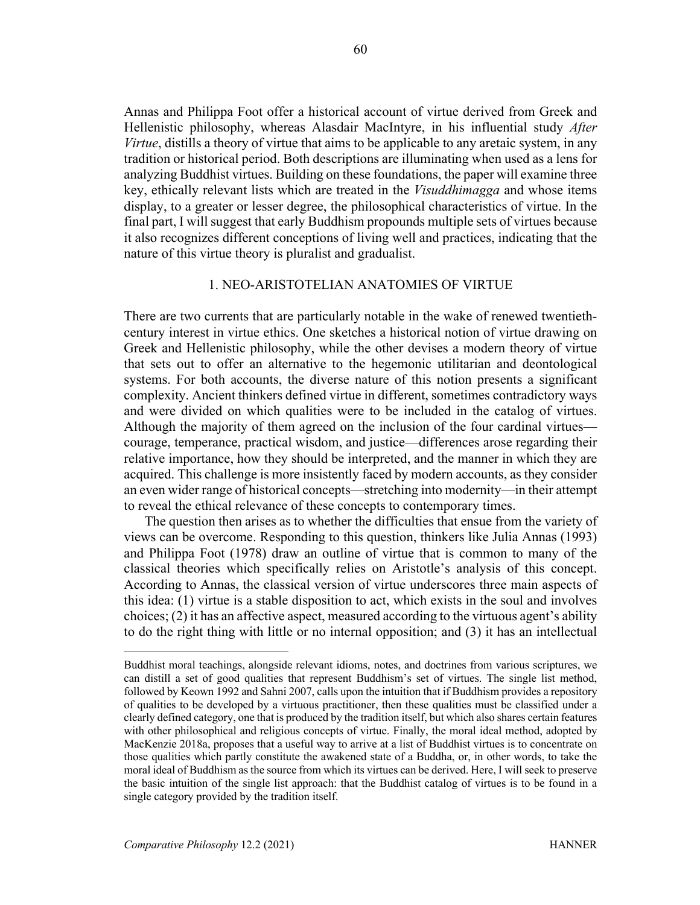Annas and Philippa Foot offer a historical account of virtue derived from Greek and Hellenistic philosophy, whereas Alasdair MacIntyre, in his influential study *After Virtue*, distills a theory of virtue that aims to be applicable to any aretaic system, in any tradition or historical period. Both descriptions are illuminating when used as a lens for analyzing Buddhist virtues. Building on these foundations, the paper will examine three key, ethically relevant lists which are treated in the *Visuddhimagga* and whose items display, to a greater or lesser degree, the philosophical characteristics of virtue. In the final part, I will suggest that early Buddhism propounds multiple sets of virtues because it also recognizes different conceptions of living well and practices, indicating that the nature of this virtue theory is pluralist and gradualist.

# 1. NEO-ARISTOTELIAN ANATOMIES OF VIRTUE

There are two currents that are particularly notable in the wake of renewed twentiethcentury interest in virtue ethics. One sketches a historical notion of virtue drawing on Greek and Hellenistic philosophy, while the other devises a modern theory of virtue that sets out to offer an alternative to the hegemonic utilitarian and deontological systems. For both accounts, the diverse nature of this notion presents a significant complexity. Ancient thinkers defined virtue in different, sometimes contradictory ways and were divided on which qualities were to be included in the catalog of virtues. Although the majority of them agreed on the inclusion of the four cardinal virtues courage, temperance, practical wisdom, and justice—differences arose regarding their relative importance, how they should be interpreted, and the manner in which they are acquired. This challenge is more insistently faced by modern accounts, as they consider an even wider range of historical concepts—stretching into modernity—in their attempt to reveal the ethical relevance of these concepts to contemporary times.

The question then arises as to whether the difficulties that ensue from the variety of views can be overcome. Responding to this question, thinkers like Julia Annas (1993) and Philippa Foot (1978) draw an outline of virtue that is common to many of the classical theories which specifically relies on Aristotle's analysis of this concept. According to Annas, the classical version of virtue underscores three main aspects of this idea: (1) virtue is a stable disposition to act, which exists in the soul and involves choices; (2) it has an affective aspect, measured according to the virtuous agent's ability to do the right thing with little or no internal opposition; and (3) it has an intellectual

Buddhist moral teachings, alongside relevant idioms, notes, and doctrines from various scriptures, we can distill a set of good qualities that represent Buddhism's set of virtues. The single list method, followed by Keown 1992 and Sahni 2007, calls upon the intuition that if Buddhism provides a repository of qualities to be developed by a virtuous practitioner, then these qualities must be classified under a clearly defined category, one that is produced by the tradition itself, but which also shares certain features with other philosophical and religious concepts of virtue. Finally, the moral ideal method, adopted by MacKenzie 2018a, proposes that a useful way to arrive at a list of Buddhist virtues is to concentrate on those qualities which partly constitute the awakened state of a Buddha, or, in other words, to take the moral ideal of Buddhism as the source from which its virtues can be derived. Here, I will seek to preserve the basic intuition of the single list approach: that the Buddhist catalog of virtues is to be found in a single category provided by the tradition itself.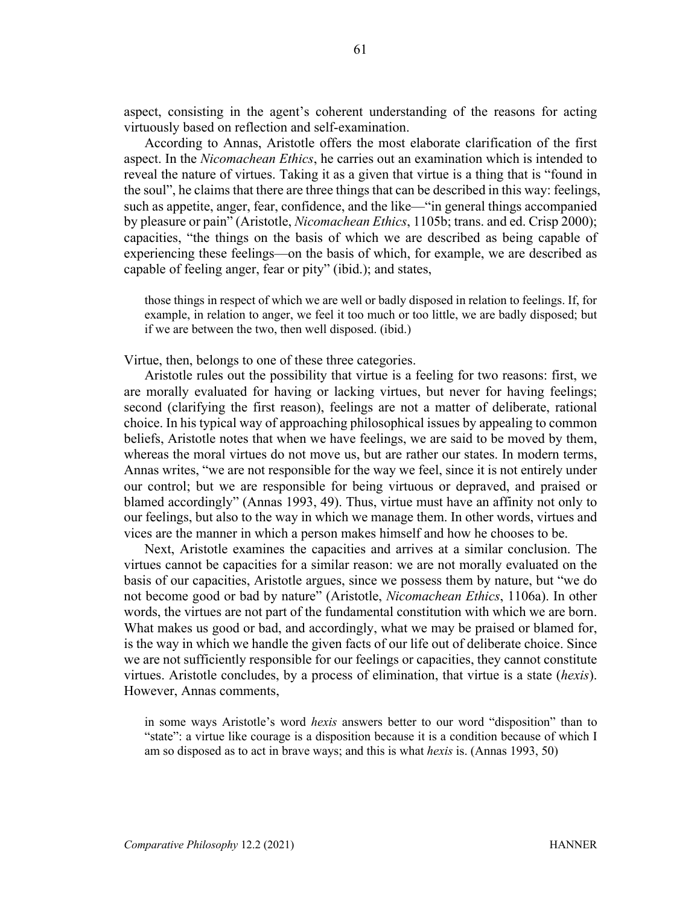aspect, consisting in the agent's coherent understanding of the reasons for acting virtuously based on reflection and self-examination.

According to Annas, Aristotle offers the most elaborate clarification of the first aspect. In the *Nicomachean Ethics*, he carries out an examination which is intended to reveal the nature of virtues. Taking it as a given that virtue is a thing that is "found in the soul", he claims that there are three things that can be described in this way: feelings, such as appetite, anger, fear, confidence, and the like—"in general things accompanied by pleasure or pain" (Aristotle, *Nicomachean Ethics*, 1105b; trans. and ed. Crisp 2000); capacities, "the things on the basis of which we are described as being capable of experiencing these feelings—on the basis of which, for example, we are described as capable of feeling anger, fear or pity" (ibid.); and states,

those things in respect of which we are well or badly disposed in relation to feelings. If, for example, in relation to anger, we feel it too much or too little, we are badly disposed; but if we are between the two, then well disposed. (ibid.)

Virtue, then, belongs to one of these three categories.

Aristotle rules out the possibility that virtue is a feeling for two reasons: first, we are morally evaluated for having or lacking virtues, but never for having feelings; second (clarifying the first reason), feelings are not a matter of deliberate, rational choice. In his typical way of approaching philosophical issues by appealing to common beliefs, Aristotle notes that when we have feelings, we are said to be moved by them, whereas the moral virtues do not move us, but are rather our states. In modern terms, Annas writes, "we are not responsible for the way we feel, since it is not entirely under our control; but we are responsible for being virtuous or depraved, and praised or blamed accordingly" (Annas 1993, 49). Thus, virtue must have an affinity not only to our feelings, but also to the way in which we manage them. In other words, virtues and vices are the manner in which a person makes himself and how he chooses to be.

Next, Aristotle examines the capacities and arrives at a similar conclusion. The virtues cannot be capacities for a similar reason: we are not morally evaluated on the basis of our capacities, Aristotle argues, since we possess them by nature, but "we do not become good or bad by nature" (Aristotle, *Nicomachean Ethics*, 1106a). In other words, the virtues are not part of the fundamental constitution with which we are born. What makes us good or bad, and accordingly, what we may be praised or blamed for, is the way in which we handle the given facts of our life out of deliberate choice. Since we are not sufficiently responsible for our feelings or capacities, they cannot constitute virtues. Aristotle concludes, by a process of elimination, that virtue is a state (*hexis*). However, Annas comments,

in some ways Aristotle's word *hexis* answers better to our word "disposition" than to "state": a virtue like courage is a disposition because it is a condition because of which I am so disposed as to act in brave ways; and this is what *hexis* is. (Annas 1993, 50)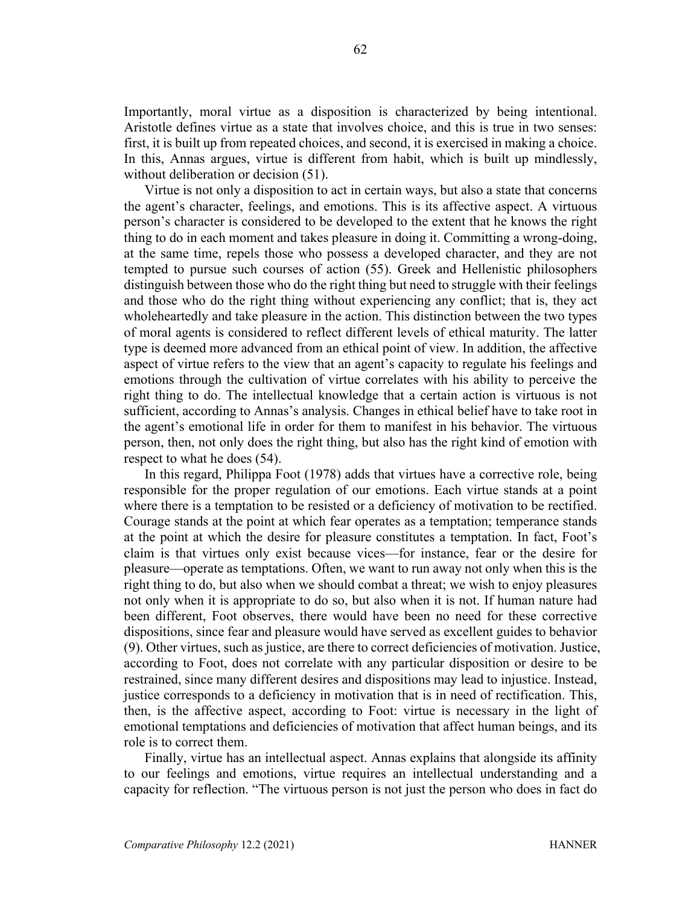Importantly, moral virtue as a disposition is characterized by being intentional. Aristotle defines virtue as a state that involves choice, and this is true in two senses: first, it is built up from repeated choices, and second, it is exercised in making a choice. In this, Annas argues, virtue is different from habit, which is built up mindlessly, without deliberation or decision (51).

Virtue is not only a disposition to act in certain ways, but also a state that concerns the agent's character, feelings, and emotions. This is its affective aspect. A virtuous person's character is considered to be developed to the extent that he knows the right thing to do in each moment and takes pleasure in doing it. Committing a wrong-doing, at the same time, repels those who possess a developed character, and they are not tempted to pursue such courses of action (55). Greek and Hellenistic philosophers distinguish between those who do the right thing but need to struggle with their feelings and those who do the right thing without experiencing any conflict; that is, they act wholeheartedly and take pleasure in the action. This distinction between the two types of moral agents is considered to reflect different levels of ethical maturity. The latter type is deemed more advanced from an ethical point of view. In addition, the affective aspect of virtue refers to the view that an agent's capacity to regulate his feelings and emotions through the cultivation of virtue correlates with his ability to perceive the right thing to do. The intellectual knowledge that a certain action is virtuous is not sufficient, according to Annas's analysis. Changes in ethical belief have to take root in the agent's emotional life in order for them to manifest in his behavior. The virtuous person, then, not only does the right thing, but also has the right kind of emotion with respect to what he does (54).

In this regard, Philippa Foot (1978) adds that virtues have a corrective role, being responsible for the proper regulation of our emotions. Each virtue stands at a point where there is a temptation to be resisted or a deficiency of motivation to be rectified. Courage stands at the point at which fear operates as a temptation; temperance stands at the point at which the desire for pleasure constitutes a temptation. In fact, Foot's claim is that virtues only exist because vices—for instance, fear or the desire for pleasure—operate as temptations. Often, we want to run away not only when this is the right thing to do, but also when we should combat a threat; we wish to enjoy pleasures not only when it is appropriate to do so, but also when it is not. If human nature had been different, Foot observes, there would have been no need for these corrective dispositions, since fear and pleasure would have served as excellent guides to behavior (9). Other virtues, such as justice, are there to correct deficiencies of motivation. Justice, according to Foot, does not correlate with any particular disposition or desire to be restrained, since many different desires and dispositions may lead to injustice. Instead, justice corresponds to a deficiency in motivation that is in need of rectification. This, then, is the affective aspect, according to Foot: virtue is necessary in the light of emotional temptations and deficiencies of motivation that affect human beings, and its role is to correct them.

Finally, virtue has an intellectual aspect. Annas explains that alongside its affinity to our feelings and emotions, virtue requires an intellectual understanding and a capacity for reflection. "The virtuous person is not just the person who does in fact do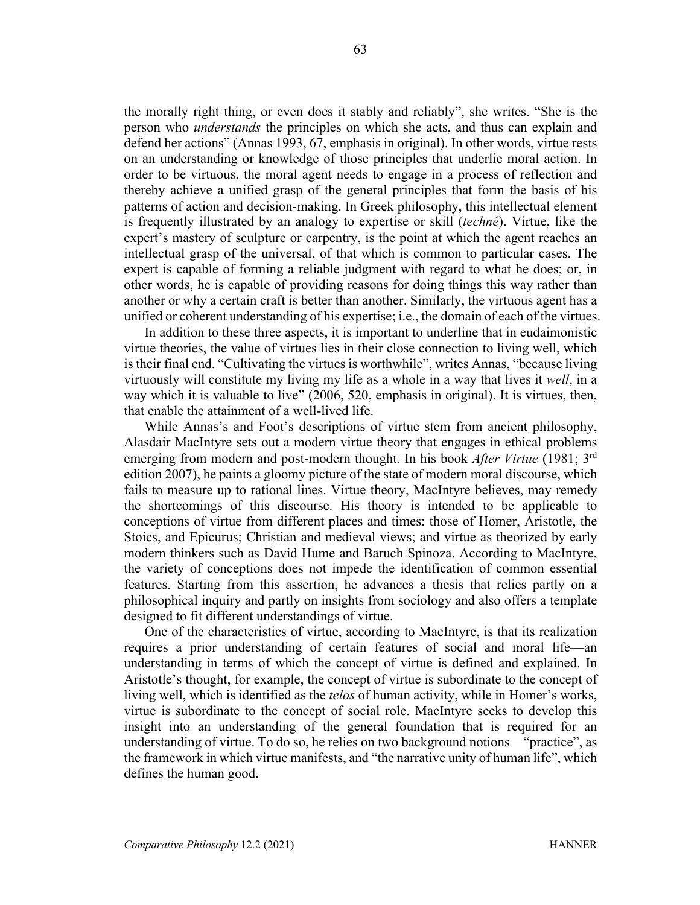the morally right thing, or even does it stably and reliably", she writes. "She is the person who *understands* the principles on which she acts, and thus can explain and defend her actions" (Annas 1993, 67, emphasis in original). In other words, virtue rests on an understanding or knowledge of those principles that underlie moral action. In order to be virtuous, the moral agent needs to engage in a process of reflection and thereby achieve a unified grasp of the general principles that form the basis of his patterns of action and decision-making. In Greek philosophy, this intellectual element is frequently illustrated by an analogy to expertise or skill (*technê*). Virtue, like the expert's mastery of sculpture or carpentry, is the point at which the agent reaches an intellectual grasp of the universal, of that which is common to particular cases. The expert is capable of forming a reliable judgment with regard to what he does; or, in other words, he is capable of providing reasons for doing things this way rather than another or why a certain craft is better than another. Similarly, the virtuous agent has a unified or coherent understanding of his expertise; i.e., the domain of each of the virtues.

In addition to these three aspects, it is important to underline that in eudaimonistic virtue theories, the value of virtues lies in their close connection to living well, which is their final end. "Cultivating the virtues is worthwhile", writes Annas, "because living virtuously will constitute my living my life as a whole in a way that lives it *well*, in a way which it is valuable to live" (2006, 520, emphasis in original). It is virtues, then, that enable the attainment of a well-lived life.

While Annas's and Foot's descriptions of virtue stem from ancient philosophy, Alasdair MacIntyre sets out a modern virtue theory that engages in ethical problems emerging from modern and post-modern thought. In his book *After Virtue* (1981; 3rd edition 2007), he paints a gloomy picture of the state of modern moral discourse, which fails to measure up to rational lines. Virtue theory, MacIntyre believes, may remedy the shortcomings of this discourse. His theory is intended to be applicable to conceptions of virtue from different places and times: those of Homer, Aristotle, the Stoics, and Epicurus; Christian and medieval views; and virtue as theorized by early modern thinkers such as David Hume and Baruch Spinoza. According to MacIntyre, the variety of conceptions does not impede the identification of common essential features. Starting from this assertion, he advances a thesis that relies partly on a philosophical inquiry and partly on insights from sociology and also offers a template designed to fit different understandings of virtue.

One of the characteristics of virtue, according to MacIntyre, is that its realization requires a prior understanding of certain features of social and moral life—an understanding in terms of which the concept of virtue is defined and explained. In Aristotle's thought, for example, the concept of virtue is subordinate to the concept of living well, which is identified as the *telos* of human activity, while in Homer's works, virtue is subordinate to the concept of social role. MacIntyre seeks to develop this insight into an understanding of the general foundation that is required for an understanding of virtue. To do so, he relies on two background notions—"practice", as the framework in which virtue manifests, and "the narrative unity of human life", which defines the human good.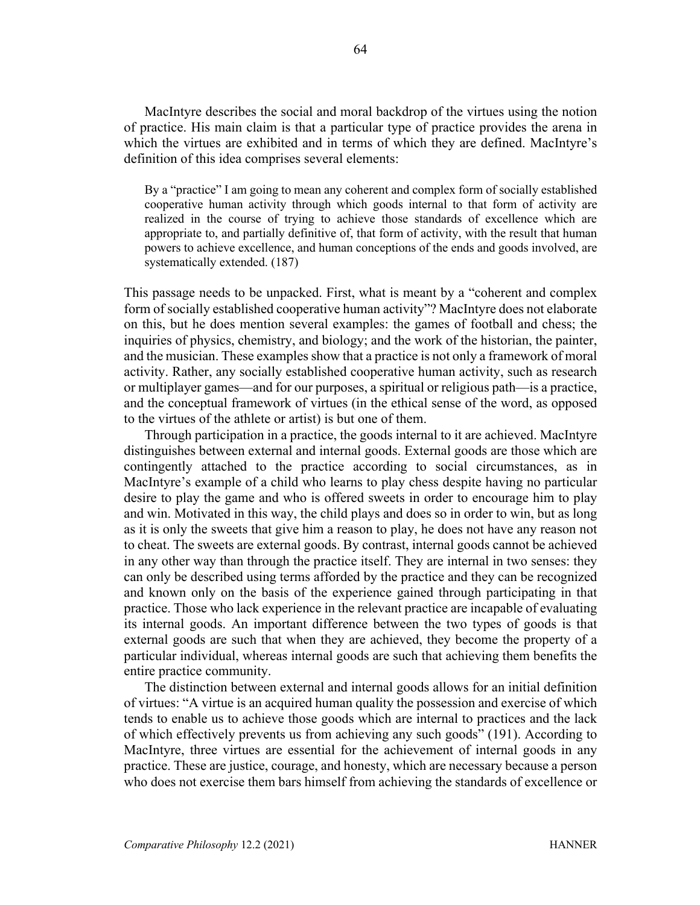MacIntyre describes the social and moral backdrop of the virtues using the notion of practice. His main claim is that a particular type of practice provides the arena in which the virtues are exhibited and in terms of which they are defined. MacIntyre's definition of this idea comprises several elements:

By a "practice" I am going to mean any coherent and complex form of socially established cooperative human activity through which goods internal to that form of activity are realized in the course of trying to achieve those standards of excellence which are appropriate to, and partially definitive of, that form of activity, with the result that human powers to achieve excellence, and human conceptions of the ends and goods involved, are systematically extended. (187)

This passage needs to be unpacked. First, what is meant by a "coherent and complex form of socially established cooperative human activity"? MacIntyre does not elaborate on this, but he does mention several examples: the games of football and chess; the inquiries of physics, chemistry, and biology; and the work of the historian, the painter, and the musician. These examples show that a practice is not only a framework of moral activity. Rather, any socially established cooperative human activity, such as research or multiplayer games—and for our purposes, a spiritual or religious path—is a practice, and the conceptual framework of virtues (in the ethical sense of the word, as opposed to the virtues of the athlete or artist) is but one of them.

Through participation in a practice, the goods internal to it are achieved. MacIntyre distinguishes between external and internal goods. External goods are those which are contingently attached to the practice according to social circumstances, as in MacIntyre's example of a child who learns to play chess despite having no particular desire to play the game and who is offered sweets in order to encourage him to play and win. Motivated in this way, the child plays and does so in order to win, but as long as it is only the sweets that give him a reason to play, he does not have any reason not to cheat. The sweets are external goods. By contrast, internal goods cannot be achieved in any other way than through the practice itself. They are internal in two senses: they can only be described using terms afforded by the practice and they can be recognized and known only on the basis of the experience gained through participating in that practice. Those who lack experience in the relevant practice are incapable of evaluating its internal goods. An important difference between the two types of goods is that external goods are such that when they are achieved, they become the property of a particular individual, whereas internal goods are such that achieving them benefits the entire practice community.

The distinction between external and internal goods allows for an initial definition of virtues: "A virtue is an acquired human quality the possession and exercise of which tends to enable us to achieve those goods which are internal to practices and the lack of which effectively prevents us from achieving any such goods" (191). According to MacIntyre, three virtues are essential for the achievement of internal goods in any practice. These are justice, courage, and honesty, which are necessary because a person who does not exercise them bars himself from achieving the standards of excellence or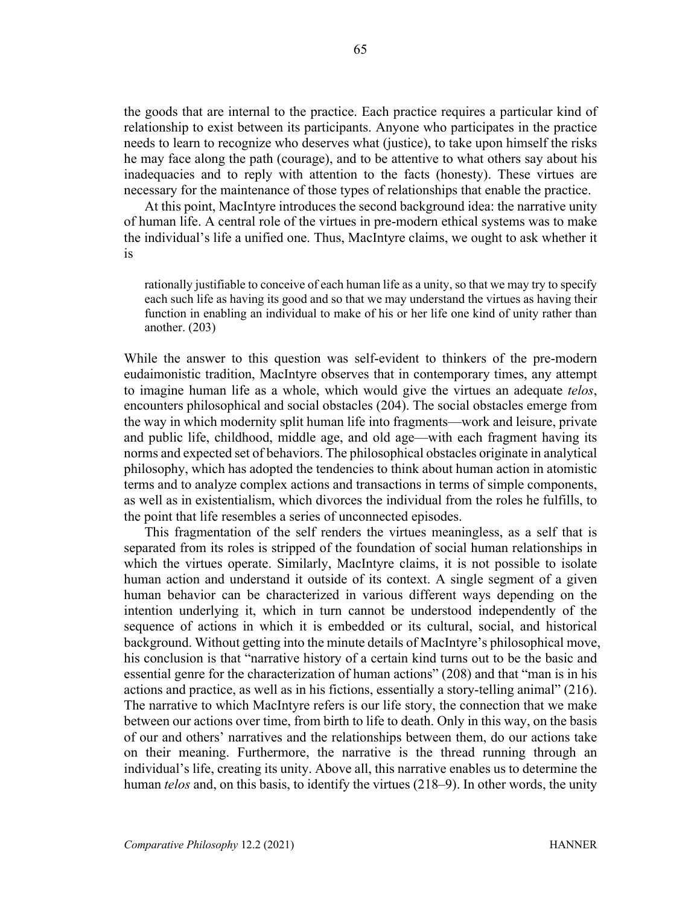the goods that are internal to the practice. Each practice requires a particular kind of relationship to exist between its participants. Anyone who participates in the practice needs to learn to recognize who deserves what (justice), to take upon himself the risks he may face along the path (courage), and to be attentive to what others say about his inadequacies and to reply with attention to the facts (honesty). These virtues are necessary for the maintenance of those types of relationships that enable the practice.

At this point, MacIntyre introduces the second background idea: the narrative unity of human life. A central role of the virtues in pre-modern ethical systems was to make the individual's life a unified one. Thus, MacIntyre claims, we ought to ask whether it is

rationally justifiable to conceive of each human life as a unity, so that we may try to specify each such life as having its good and so that we may understand the virtues as having their function in enabling an individual to make of his or her life one kind of unity rather than another. (203)

While the answer to this question was self-evident to thinkers of the pre-modern eudaimonistic tradition, MacIntyre observes that in contemporary times, any attempt to imagine human life as a whole, which would give the virtues an adequate *telos*, encounters philosophical and social obstacles (204). The social obstacles emerge from the way in which modernity split human life into fragments—work and leisure, private and public life, childhood, middle age, and old age—with each fragment having its norms and expected set of behaviors. The philosophical obstacles originate in analytical philosophy, which has adopted the tendencies to think about human action in atomistic terms and to analyze complex actions and transactions in terms of simple components, as well as in existentialism, which divorces the individual from the roles he fulfills, to the point that life resembles a series of unconnected episodes.

This fragmentation of the self renders the virtues meaningless, as a self that is separated from its roles is stripped of the foundation of social human relationships in which the virtues operate. Similarly, MacIntyre claims, it is not possible to isolate human action and understand it outside of its context. A single segment of a given human behavior can be characterized in various different ways depending on the intention underlying it, which in turn cannot be understood independently of the sequence of actions in which it is embedded or its cultural, social, and historical background. Without getting into the minute details of MacIntyre's philosophical move, his conclusion is that "narrative history of a certain kind turns out to be the basic and essential genre for the characterization of human actions" (208) and that "man is in his actions and practice, as well as in his fictions, essentially a story-telling animal" (216). The narrative to which MacIntyre refers is our life story, the connection that we make between our actions over time, from birth to life to death. Only in this way, on the basis of our and others' narratives and the relationships between them, do our actions take on their meaning. Furthermore, the narrative is the thread running through an individual's life, creating its unity. Above all, this narrative enables us to determine the human *telos* and, on this basis, to identify the virtues (218–9). In other words, the unity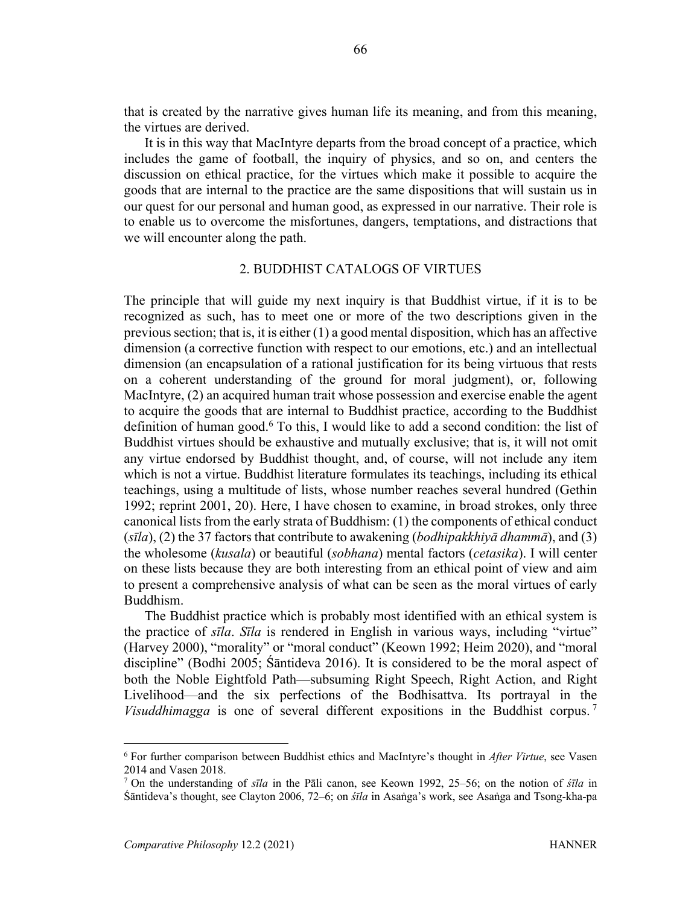that is created by the narrative gives human life its meaning, and from this meaning, the virtues are derived.

It is in this way that MacIntyre departs from the broad concept of a practice, which includes the game of football, the inquiry of physics, and so on, and centers the discussion on ethical practice, for the virtues which make it possible to acquire the goods that are internal to the practice are the same dispositions that will sustain us in our quest for our personal and human good, as expressed in our narrative. Their role is to enable us to overcome the misfortunes, dangers, temptations, and distractions that we will encounter along the path.

#### 2. BUDDHIST CATALOGS OF VIRTUES

The principle that will guide my next inquiry is that Buddhist virtue, if it is to be recognized as such, has to meet one or more of the two descriptions given in the previous section; that is, it is either (1) a good mental disposition, which has an affective dimension (a corrective function with respect to our emotions, etc.) and an intellectual dimension (an encapsulation of a rational justification for its being virtuous that rests on a coherent understanding of the ground for moral judgment), or, following MacIntyre, (2) an acquired human trait whose possession and exercise enable the agent to acquire the goods that are internal to Buddhist practice, according to the Buddhist definition of human good.<sup>6</sup> To this, I would like to add a second condition: the list of Buddhist virtues should be exhaustive and mutually exclusive; that is, it will not omit any virtue endorsed by Buddhist thought, and, of course, will not include any item which is not a virtue. Buddhist literature formulates its teachings, including its ethical teachings, using a multitude of lists, whose number reaches several hundred (Gethin 1992; reprint 2001, 20). Here, I have chosen to examine, in broad strokes, only three canonical lists from the early strata of Buddhism: (1) the components of ethical conduct (*sīla*), (2) the 37 factors that contribute to awakening (*bodhipakkhiyā dhammā*), and (3) the wholesome (*kusala*) or beautiful (*sobhana*) mental factors (*cetasika*). I will center on these lists because they are both interesting from an ethical point of view and aim to present a comprehensive analysis of what can be seen as the moral virtues of early Buddhism.

The Buddhist practice which is probably most identified with an ethical system is the practice of *sīla*. *Sīla* is rendered in English in various ways, including "virtue" (Harvey 2000), "morality" or "moral conduct" (Keown 1992; Heim 2020), and "moral discipline" (Bodhi 2005; Śāntideva 2016). It is considered to be the moral aspect of both the Noble Eightfold Path—subsuming Right Speech, Right Action, and Right Livelihood—and the six perfections of the Bodhisattva. Its portrayal in the *Visuddhimagga* is one of several different expositions in the Buddhist corpus. <sup>7</sup>

<sup>6</sup> For further comparison between Buddhist ethics and MacIntyre's thought in *After Virtue*, see Vasen 2014 and Vasen 2018.

<sup>7</sup> On the understanding of *sīla* in the Pāli canon, see Keown 1992, 25–56; on the notion of *śīla* in Śāntideva's thought, see Clayton 2006, 72–6; on *śīla* in Asaṅga's work, see Asaṅga and Tsong-kha-pa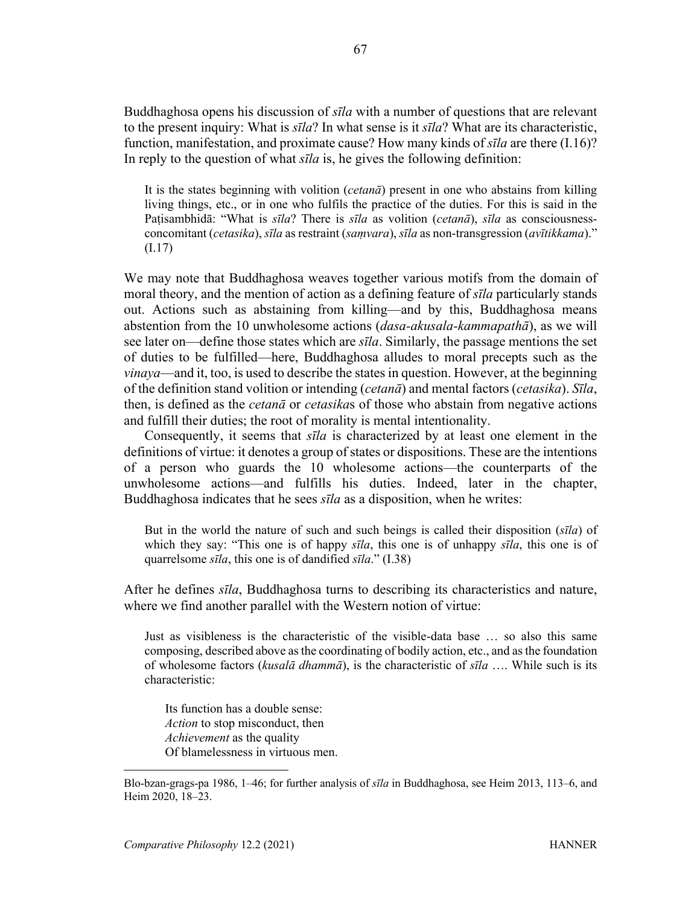Buddhaghosa opens his discussion of *sīla* with a number of questions that are relevant to the present inquiry: What is *sīla*? In what sense is it *sīla*? What are its characteristic, function, manifestation, and proximate cause? How many kinds of *sīla* are there (I.16)? In reply to the question of what *sīla* is, he gives the following definition:

It is the states beginning with volition (*cetanā*) present in one who abstains from killing living things, etc., or in one who fulfils the practice of the duties. For this is said in the Paṭisambhidā: "What is *sīla*? There is *sīla* as volition (*cetanā*), *sīla* as consciousnessconcomitant (*cetasika*), *sīla* as restraint (*saṃvara*), *sīla* as non-transgression (*avītikkama*)." (I.17)

We may note that Buddhaghosa weaves together various motifs from the domain of moral theory, and the mention of action as a defining feature of *sīla* particularly stands out. Actions such as abstaining from killing—and by this, Buddhaghosa means abstention from the 10 unwholesome actions (*dasa-akusala-kammapathā*), as we will see later on—define those states which are *sīla*. Similarly, the passage mentions the set of duties to be fulfilled—here, Buddhaghosa alludes to moral precepts such as the *vinaya*—and it, too, is used to describe the states in question. However, at the beginning of the definition stand volition or intending (*cetanā*) and mental factors (*cetasika*). *Sīla*, then, is defined as the *cetanā* or *cetasika*s of those who abstain from negative actions and fulfill their duties; the root of morality is mental intentionality.

Consequently, it seems that *sīla* is characterized by at least one element in the definitions of virtue: it denotes a group of states or dispositions. These are the intentions of a person who guards the 10 wholesome actions—the counterparts of the unwholesome actions—and fulfills his duties. Indeed, later in the chapter, Buddhaghosa indicates that he sees *sīla* as a disposition, when he writes:

But in the world the nature of such and such beings is called their disposition (*sīla*) of which they say: "This one is of happy *sīla*, this one is of unhappy *sīla*, this one is of quarrelsome *sīla*, this one is of dandified *sīla*." (I.38)

After he defines *sīla*, Buddhaghosa turns to describing its characteristics and nature, where we find another parallel with the Western notion of virtue:

Just as visibleness is the characteristic of the visible-data base … so also this same composing, described above as the coordinating of bodily action, etc., and as the foundation of wholesome factors (*kusalā dhammā*), is the characteristic of *sīla* …. While such is its characteristic:

Its function has a double sense: *Action* to stop misconduct, then *Achievement* as the quality Of blamelessness in virtuous men.

Blo-bzan-grags-pa 1986, 1–46; for further analysis of *sīla* in Buddhaghosa, see Heim 2013, 113–6, and Heim 2020, 18–23.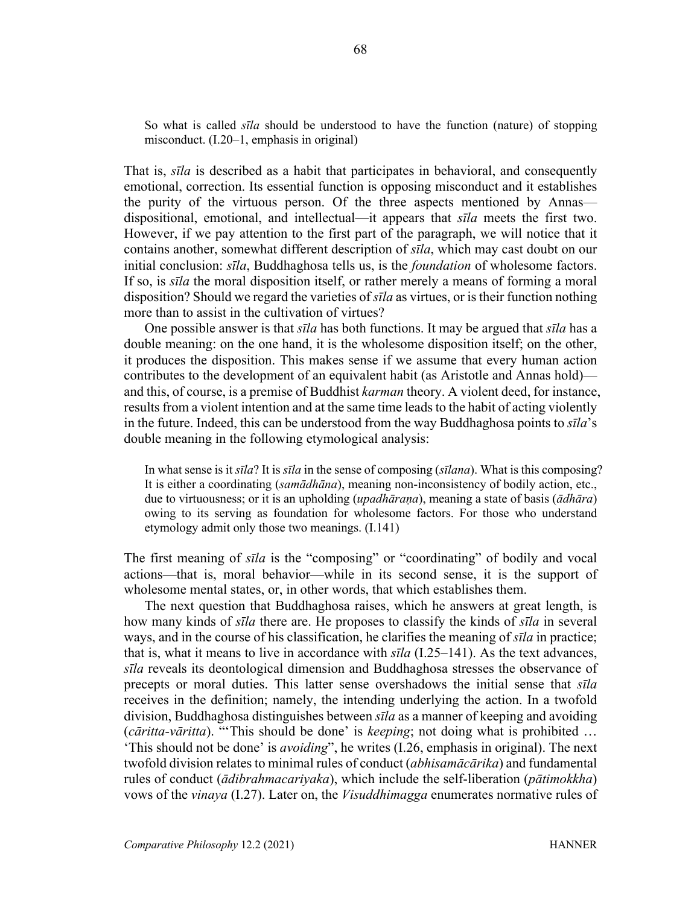So what is called *sīla* should be understood to have the function (nature) of stopping misconduct. (I.20–1, emphasis in original)

That is, *sīla* is described as a habit that participates in behavioral, and consequently emotional, correction. Its essential function is opposing misconduct and it establishes the purity of the virtuous person. Of the three aspects mentioned by Annas dispositional, emotional, and intellectual—it appears that *sīla* meets the first two. However, if we pay attention to the first part of the paragraph, we will notice that it contains another, somewhat different description of *sīla*, which may cast doubt on our initial conclusion: *sīla*, Buddhaghosa tells us, is the *foundation* of wholesome factors. If so, is *sīla* the moral disposition itself, or rather merely a means of forming a moral disposition? Should we regard the varieties of *sīla* as virtues, or is their function nothing more than to assist in the cultivation of virtues?

One possible answer is that *sīla* has both functions. It may be argued that *sīla* has a double meaning: on the one hand, it is the wholesome disposition itself; on the other, it produces the disposition. This makes sense if we assume that every human action contributes to the development of an equivalent habit (as Aristotle and Annas hold) and this, of course, is a premise of Buddhist *karman* theory. A violent deed, for instance, results from a violent intention and at the same time leads to the habit of acting violently in the future. Indeed, this can be understood from the way Buddhaghosa points to *sīla*'s double meaning in the following etymological analysis:

In what sense is it *sīla*? It is *sīla* in the sense of composing (*sīlana*). What is this composing? It is either a coordinating (*samādhāna*), meaning non-inconsistency of bodily action, etc., due to virtuousness; or it is an upholding (*upadhāraṇa*), meaning a state of basis (*ādhāra*) owing to its serving as foundation for wholesome factors. For those who understand etymology admit only those two meanings. (I.141)

The first meaning of *sīla* is the "composing" or "coordinating" of bodily and vocal actions—that is, moral behavior—while in its second sense, it is the support of wholesome mental states, or, in other words, that which establishes them.

The next question that Buddhaghosa raises, which he answers at great length, is how many kinds of *sīla* there are. He proposes to classify the kinds of *sīla* in several ways, and in the course of his classification, he clarifies the meaning of *sīla* in practice; that is, what it means to live in accordance with *sīla* (I.25–141). As the text advances, *sīla* reveals its deontological dimension and Buddhaghosa stresses the observance of precepts or moral duties. This latter sense overshadows the initial sense that *sīla* receives in the definition; namely, the intending underlying the action. In a twofold division, Buddhaghosa distinguishes between *sīla* as a manner of keeping and avoiding (*cāritta-vāritta*). "'This should be done' is *keeping*; not doing what is prohibited … 'This should not be done' is *avoiding*", he writes (I.26, emphasis in original). The next twofold division relates to minimal rules of conduct (*abhisamācārika*) and fundamental rules of conduct (*ādibrahmacariyaka*), which include the self-liberation (*pātimokkha*) vows of the *vinaya* (I.27). Later on, the *Visuddhimagga* enumerates normative rules of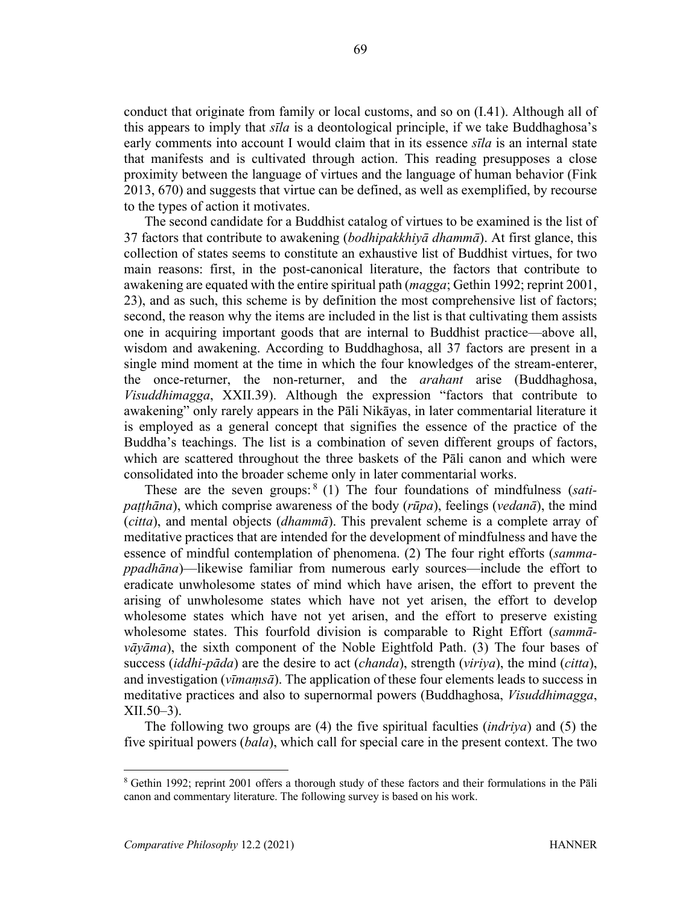conduct that originate from family or local customs, and so on (I.41). Although all of this appears to imply that *sīla* is a deontological principle, if we take Buddhaghosa's early comments into account I would claim that in its essence *sīla* is an internal state that manifests and is cultivated through action. This reading presupposes a close proximity between the language of virtues and the language of human behavior (Fink 2013, 670) and suggests that virtue can be defined, as well as exemplified, by recourse to the types of action it motivates.

The second candidate for a Buddhist catalog of virtues to be examined is the list of 37 factors that contribute to awakening (*bodhipakkhiyā dhammā*). At first glance, this collection of states seems to constitute an exhaustive list of Buddhist virtues, for two main reasons: first, in the post-canonical literature, the factors that contribute to awakening are equated with the entire spiritual path (*magga*; Gethin 1992; reprint 2001, 23), and as such, this scheme is by definition the most comprehensive list of factors; second, the reason why the items are included in the list is that cultivating them assists one in acquiring important goods that are internal to Buddhist practice—above all, wisdom and awakening. According to Buddhaghosa, all 37 factors are present in a single mind moment at the time in which the four knowledges of the stream-enterer, the once-returner, the non-returner, and the *arahant* arise (Buddhaghosa, *Visuddhimagga*, XXII.39). Although the expression "factors that contribute to awakening" only rarely appears in the Pāli Nikāyas, in later commentarial literature it is employed as a general concept that signifies the essence of the practice of the Buddha's teachings. The list is a combination of seven different groups of factors, which are scattered throughout the three baskets of the Pāli canon and which were consolidated into the broader scheme only in later commentarial works.

These are the seven groups: <sup>8</sup> (1) The four foundations of mindfulness (*satipaṭṭhāna*), which comprise awareness of the body (*rūpa*), feelings (*vedanā*), the mind (*citta*), and mental objects (*dhammā*). This prevalent scheme is a complete array of meditative practices that are intended for the development of mindfulness and have the essence of mindful contemplation of phenomena. (2) The four right efforts (*sammappadhāna*)—likewise familiar from numerous early sources—include the effort to eradicate unwholesome states of mind which have arisen, the effort to prevent the arising of unwholesome states which have not yet arisen, the effort to develop wholesome states which have not yet arisen, and the effort to preserve existing wholesome states. This fourfold division is comparable to Right Effort (*sammāvāyāma*), the sixth component of the Noble Eightfold Path. (3) The four bases of success (*iddhi-pāda*) are the desire to act (*chanda*), strength (*viriya*), the mind (*citta*), and investigation (*vīmaṃsā*). The application of these four elements leads to success in meditative practices and also to supernormal powers (Buddhaghosa, *Visuddhimagga*, XII.50–3).

The following two groups are (4) the five spiritual faculties (*indriya*) and (5) the five spiritual powers (*bala*), which call for special care in the present context. The two

<sup>8</sup> Gethin 1992; reprint 2001 offers a thorough study of these factors and their formulations in the Pāli canon and commentary literature. The following survey is based on his work.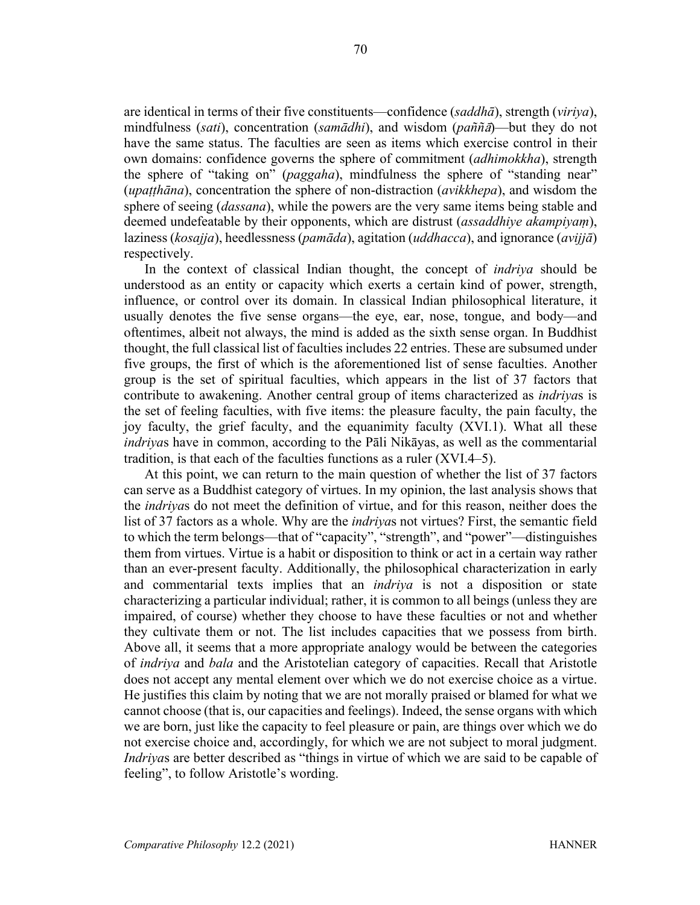are identical in terms of their five constituents—confidence (*saddhā*), strength (*viriya*), mindfulness (*sati*), concentration (*samādhi*), and wisdom (*paññ*ā)—but they do not have the same status. The faculties are seen as items which exercise control in their own domains: confidence governs the sphere of commitment (*adhimokkha*), strength the sphere of "taking on" (*paggaha*), mindfulness the sphere of "standing near" (*upaṭṭhāna*), concentration the sphere of non-distraction (*avikkhepa*), and wisdom the sphere of seeing (*dassana*), while the powers are the very same items being stable and deemed undefeatable by their opponents, which are distrust (*assaddhiye akampiyaṃ*), laziness (*kosajja*), heedlessness (*pamāda*), agitation (*uddhacca*), and ignorance (*avijjā*) respectively.

In the context of classical Indian thought, the concept of *indriya* should be understood as an entity or capacity which exerts a certain kind of power, strength, influence, or control over its domain. In classical Indian philosophical literature, it usually denotes the five sense organs—the eye, ear, nose, tongue, and body—and oftentimes, albeit not always, the mind is added as the sixth sense organ. In Buddhist thought, the full classical list of faculties includes 22 entries. These are subsumed under five groups, the first of which is the aforementioned list of sense faculties. Another group is the set of spiritual faculties, which appears in the list of 37 factors that contribute to awakening. Another central group of items characterized as *indriya*s is the set of feeling faculties, with five items: the pleasure faculty, the pain faculty, the joy faculty, the grief faculty, and the equanimity faculty (XVI.1). What all these *indriya*s have in common, according to the Pāli Nikāyas, as well as the commentarial tradition, is that each of the faculties functions as a ruler (XVI.4–5).

At this point, we can return to the main question of whether the list of 37 factors can serve as a Buddhist category of virtues. In my opinion, the last analysis shows that the *indriya*s do not meet the definition of virtue, and for this reason, neither does the list of 37 factors as a whole. Why are the *indriya*s not virtues? First, the semantic field to which the term belongs—that of "capacity", "strength", and "power"—distinguishes them from virtues. Virtue is a habit or disposition to think or act in a certain way rather than an ever-present faculty. Additionally, the philosophical characterization in early and commentarial texts implies that an *indriya* is not a disposition or state characterizing a particular individual; rather, it is common to all beings (unless they are impaired, of course) whether they choose to have these faculties or not and whether they cultivate them or not. The list includes capacities that we possess from birth. Above all, it seems that a more appropriate analogy would be between the categories of *indriya* and *bala* and the Aristotelian category of capacities. Recall that Aristotle does not accept any mental element over which we do not exercise choice as a virtue. He justifies this claim by noting that we are not morally praised or blamed for what we cannot choose (that is, our capacities and feelings). Indeed, the sense organs with which we are born, just like the capacity to feel pleasure or pain, are things over which we do not exercise choice and, accordingly, for which we are not subject to moral judgment. *Indriya*s are better described as "things in virtue of which we are said to be capable of feeling", to follow Aristotle's wording.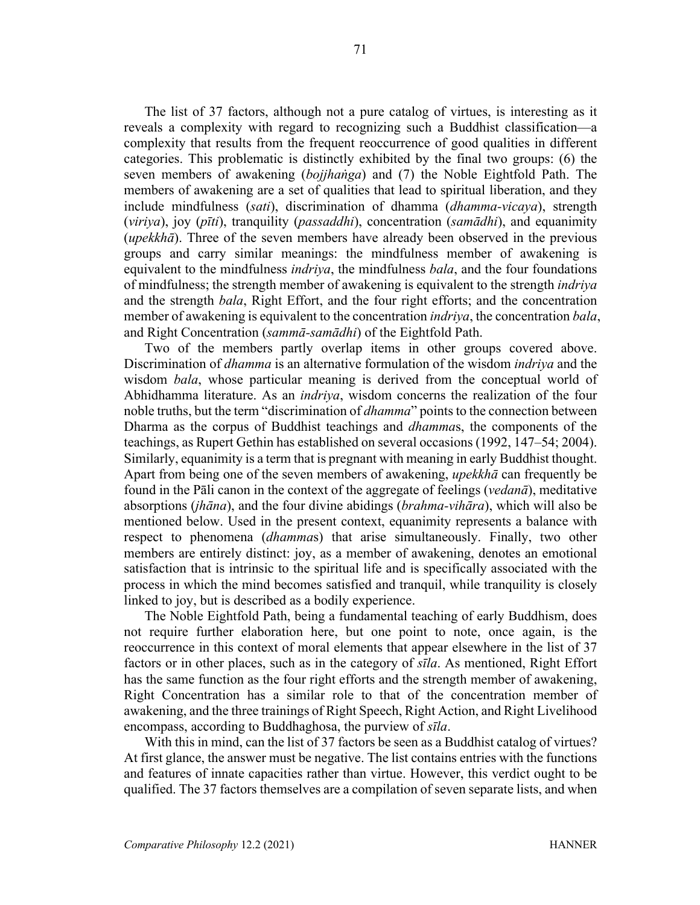The list of 37 factors, although not a pure catalog of virtues, is interesting as it reveals a complexity with regard to recognizing such a Buddhist classification—a complexity that results from the frequent reoccurrence of good qualities in different categories. This problematic is distinctly exhibited by the final two groups: (6) the seven members of awakening (*bojjhaṅga*) and (7) the Noble Eightfold Path. The members of awakening are a set of qualities that lead to spiritual liberation, and they include mindfulness (*sati*), discrimination of dhamma (*dhamma-vicaya*), strength (*viriya*), joy (*pīti*), tranquility (*passaddhi*), concentration (*samādhi*), and equanimity (*upekkhā*). Three of the seven members have already been observed in the previous groups and carry similar meanings: the mindfulness member of awakening is equivalent to the mindfulness *indriya*, the mindfulness *bala*, and the four foundations of mindfulness; the strength member of awakening is equivalent to the strength *indriya* and the strength *bala*, Right Effort, and the four right efforts; and the concentration member of awakening is equivalent to the concentration *indriya*, the concentration *bala*, and Right Concentration (*sammā-samādhi*) of the Eightfold Path.

Two of the members partly overlap items in other groups covered above. Discrimination of *dhamma* is an alternative formulation of the wisdom *indriya* and the wisdom *bala*, whose particular meaning is derived from the conceptual world of Abhidhamma literature. As an *indriya*, wisdom concerns the realization of the four noble truths, but the term "discrimination of *dhamma*" points to the connection between Dharma as the corpus of Buddhist teachings and *dhamma*s, the components of the teachings, as Rupert Gethin has established on several occasions (1992, 147–54; 2004). Similarly, equanimity is a term that is pregnant with meaning in early Buddhist thought. Apart from being one of the seven members of awakening, *upekkhā* can frequently be found in the Pāli canon in the context of the aggregate of feelings (*vedanā*), meditative absorptions (*jhāna*), and the four divine abidings (*brahma-vihāra*), which will also be mentioned below. Used in the present context, equanimity represents a balance with respect to phenomena (*dhamma*s) that arise simultaneously. Finally, two other members are entirely distinct: joy, as a member of awakening, denotes an emotional satisfaction that is intrinsic to the spiritual life and is specifically associated with the process in which the mind becomes satisfied and tranquil, while tranquility is closely linked to joy, but is described as a bodily experience.

The Noble Eightfold Path, being a fundamental teaching of early Buddhism, does not require further elaboration here, but one point to note, once again, is the reoccurrence in this context of moral elements that appear elsewhere in the list of 37 factors or in other places, such as in the category of *sīla*. As mentioned, Right Effort has the same function as the four right efforts and the strength member of awakening, Right Concentration has a similar role to that of the concentration member of awakening, and the three trainings of Right Speech, Right Action, and Right Livelihood encompass, according to Buddhaghosa, the purview of *sīla*.

With this in mind, can the list of 37 factors be seen as a Buddhist catalog of virtues? At first glance, the answer must be negative. The list contains entries with the functions and features of innate capacities rather than virtue. However, this verdict ought to be qualified. The 37 factors themselves are a compilation of seven separate lists, and when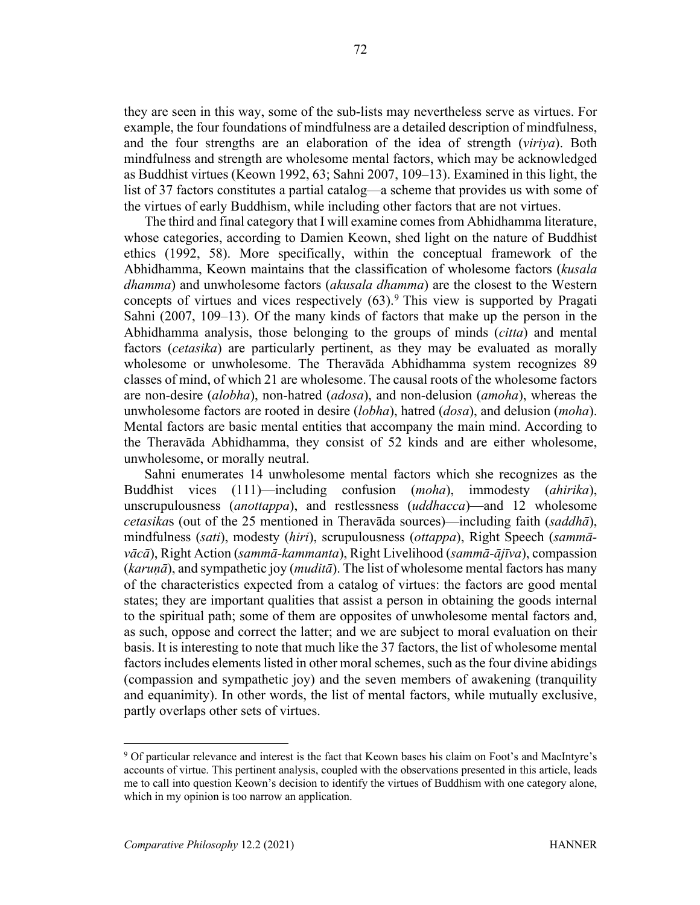they are seen in this way, some of the sub-lists may nevertheless serve as virtues. For example, the four foundations of mindfulness are a detailed description of mindfulness, and the four strengths are an elaboration of the idea of strength (*viriya*). Both mindfulness and strength are wholesome mental factors, which may be acknowledged as Buddhist virtues (Keown 1992, 63; Sahni 2007, 109–13). Examined in this light, the list of 37 factors constitutes a partial catalog—a scheme that provides us with some of the virtues of early Buddhism, while including other factors that are not virtues.

The third and final category that I will examine comes from Abhidhamma literature, whose categories, according to Damien Keown, shed light on the nature of Buddhist ethics (1992, 58). More specifically, within the conceptual framework of the Abhidhamma, Keown maintains that the classification of wholesome factors (*kusala dhamma*) and unwholesome factors (*akusala dhamma*) are the closest to the Western concepts of virtues and vices respectively  $(63)$ .<sup>9</sup> This view is supported by Pragati Sahni (2007, 109–13). Of the many kinds of factors that make up the person in the Abhidhamma analysis, those belonging to the groups of minds (*citta*) and mental factors (*cetasika*) are particularly pertinent, as they may be evaluated as morally wholesome or unwholesome. The Theravāda Abhidhamma system recognizes 89 classes of mind, of which 21 are wholesome. The causal roots of the wholesome factors are non-desire (*alobha*), non-hatred (*adosa*), and non-delusion (*amoha*), whereas the unwholesome factors are rooted in desire (*lobha*), hatred (*dosa*), and delusion (*moha*). Mental factors are basic mental entities that accompany the main mind. According to the Theravāda Abhidhamma, they consist of 52 kinds and are either wholesome, unwholesome, or morally neutral.

Sahni enumerates 14 unwholesome mental factors which she recognizes as the Buddhist vices (111)—including confusion (*moha*), immodesty (*ahirika*), unscrupulousness (*anottappa*), and restlessness (*uddhacca*)—and 12 wholesome *cetasika*s (out of the 25 mentioned in Theravāda sources)—including faith (*saddhā*), mindfulness (*sati*), modesty (*hiri*), scrupulousness (*ottappa*), Right Speech (*sammāvācā*), Right Action (*sammā-kammanta*), Right Livelihood (*sammā-ājīva*), compassion (*karuṇā*), and sympathetic joy (*muditā*). The list of wholesome mental factors has many of the characteristics expected from a catalog of virtues: the factors are good mental states; they are important qualities that assist a person in obtaining the goods internal to the spiritual path; some of them are opposites of unwholesome mental factors and, as such, oppose and correct the latter; and we are subject to moral evaluation on their basis. It is interesting to note that much like the 37 factors, the list of wholesome mental factors includes elements listed in other moral schemes, such as the four divine abidings (compassion and sympathetic joy) and the seven members of awakening (tranquility and equanimity). In other words, the list of mental factors, while mutually exclusive, partly overlaps other sets of virtues.

<sup>9</sup> Of particular relevance and interest is the fact that Keown bases his claim on Foot's and MacIntyre's accounts of virtue. This pertinent analysis, coupled with the observations presented in this article, leads me to call into question Keown's decision to identify the virtues of Buddhism with one category alone, which in my opinion is too narrow an application.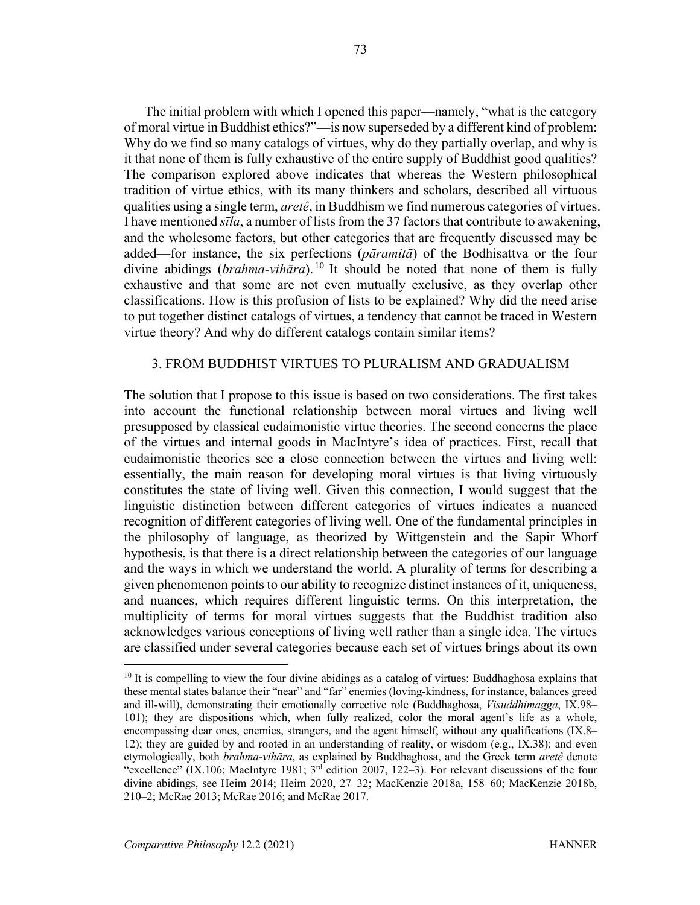The initial problem with which I opened this paper—namely, "what is the category of moral virtue in Buddhist ethics?"—is now superseded by a different kind of problem: Why do we find so many catalogs of virtues, why do they partially overlap, and why is it that none of them is fully exhaustive of the entire supply of Buddhist good qualities? The comparison explored above indicates that whereas the Western philosophical tradition of virtue ethics, with its many thinkers and scholars, described all virtuous qualities using a single term, *aretê*, in Buddhism we find numerous categories of virtues. I have mentioned *sīla*, a number of lists from the 37 factors that contribute to awakening, and the wholesome factors, but other categories that are frequently discussed may be added—for instance, the six perfections (*pāramitā*) of the Bodhisattva or the four divine abidings (*brahma-vihāra*). <sup>10</sup> It should be noted that none of them is fully exhaustive and that some are not even mutually exclusive, as they overlap other classifications. How is this profusion of lists to be explained? Why did the need arise to put together distinct catalogs of virtues, a tendency that cannot be traced in Western virtue theory? And why do different catalogs contain similar items?

# 3. FROM BUDDHIST VIRTUES TO PLURALISM AND GRADUALISM

The solution that I propose to this issue is based on two considerations. The first takes into account the functional relationship between moral virtues and living well presupposed by classical eudaimonistic virtue theories. The second concerns the place of the virtues and internal goods in MacIntyre's idea of practices. First, recall that eudaimonistic theories see a close connection between the virtues and living well: essentially, the main reason for developing moral virtues is that living virtuously constitutes the state of living well. Given this connection, I would suggest that the linguistic distinction between different categories of virtues indicates a nuanced recognition of different categories of living well. One of the fundamental principles in the philosophy of language, as theorized by Wittgenstein and the Sapir–Whorf hypothesis, is that there is a direct relationship between the categories of our language and the ways in which we understand the world. A plurality of terms for describing a given phenomenon points to our ability to recognize distinct instances of it, uniqueness, and nuances, which requires different linguistic terms. On this interpretation, the multiplicity of terms for moral virtues suggests that the Buddhist tradition also acknowledges various conceptions of living well rather than a single idea. The virtues are classified under several categories because each set of virtues brings about its own

 $10$  It is compelling to view the four divine abidings as a catalog of virtues: Buddhaghosa explains that these mental states balance their "near" and "far" enemies (loving-kindness, for instance, balances greed and ill-will), demonstrating their emotionally corrective role (Buddhaghosa, *Visuddhimagga*, IX.98– 101); they are dispositions which, when fully realized, color the moral agent's life as a whole, encompassing dear ones, enemies, strangers, and the agent himself, without any qualifications (IX.8– 12); they are guided by and rooted in an understanding of reality, or wisdom (e.g., IX.38); and even etymologically, both *brahma-vihāra*, as explained by Buddhaghosa, and the Greek term *aretê* denote "excellence" (IX.106; MacIntyre 1981;  $3<sup>rd</sup>$  edition 2007, 122–3). For relevant discussions of the four divine abidings, see Heim 2014; Heim 2020, 27–32; MacKenzie 2018a, 158–60; MacKenzie 2018b, 210–2; McRae 2013; McRae 2016; and McRae 2017.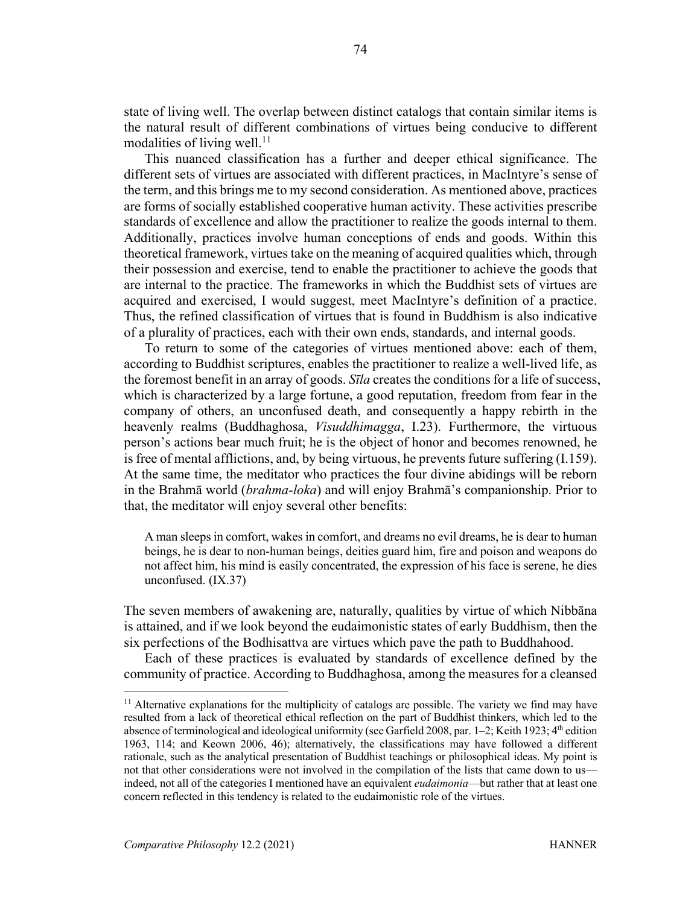state of living well. The overlap between distinct catalogs that contain similar items is the natural result of different combinations of virtues being conducive to different modalities of living well. $^{11}$ 

This nuanced classification has a further and deeper ethical significance. The different sets of virtues are associated with different practices, in MacIntyre's sense of the term, and this brings me to my second consideration. As mentioned above, practices are forms of socially established cooperative human activity. These activities prescribe standards of excellence and allow the practitioner to realize the goods internal to them. Additionally, practices involve human conceptions of ends and goods. Within this theoretical framework, virtues take on the meaning of acquired qualities which, through their possession and exercise, tend to enable the practitioner to achieve the goods that are internal to the practice. The frameworks in which the Buddhist sets of virtues are acquired and exercised, I would suggest, meet MacIntyre's definition of a practice. Thus, the refined classification of virtues that is found in Buddhism is also indicative of a plurality of practices, each with their own ends, standards, and internal goods.

To return to some of the categories of virtues mentioned above: each of them, according to Buddhist scriptures, enables the practitioner to realize a well-lived life, as the foremost benefit in an array of goods. *Sīla* creates the conditions for a life of success, which is characterized by a large fortune, a good reputation, freedom from fear in the company of others, an unconfused death, and consequently a happy rebirth in the heavenly realms (Buddhaghosa, *Visuddhimagga*, I.23). Furthermore, the virtuous person's actions bear much fruit; he is the object of honor and becomes renowned, he is free of mental afflictions, and, by being virtuous, he prevents future suffering (I.159). At the same time, the meditator who practices the four divine abidings will be reborn in the Brahmā world (*brahma-loka*) and will enjoy Brahmā's companionship. Prior to that, the meditator will enjoy several other benefits:

A man sleeps in comfort, wakes in comfort, and dreams no evil dreams, he is dear to human beings, he is dear to non-human beings, deities guard him, fire and poison and weapons do not affect him, his mind is easily concentrated, the expression of his face is serene, he dies unconfused. (IX.37)

The seven members of awakening are, naturally, qualities by virtue of which Nibbāna is attained, and if we look beyond the eudaimonistic states of early Buddhism, then the six perfections of the Bodhisattva are virtues which pave the path to Buddhahood.

Each of these practices is evaluated by standards of excellence defined by the community of practice. According to Buddhaghosa, among the measures for a cleansed

 $11$  Alternative explanations for the multiplicity of catalogs are possible. The variety we find may have resulted from a lack of theoretical ethical reflection on the part of Buddhist thinkers, which led to the absence of terminological and ideological uniformity (see Garfield 2008, par.  $1-2$ ; Keith 1923;  $4<sup>th</sup>$  edition 1963, 114; and Keown 2006, 46); alternatively, the classifications may have followed a different rationale, such as the analytical presentation of Buddhist teachings or philosophical ideas. My point is not that other considerations were not involved in the compilation of the lists that came down to us indeed, not all of the categories I mentioned have an equivalent *eudaimonia*—but rather that at least one concern reflected in this tendency is related to the eudaimonistic role of the virtues.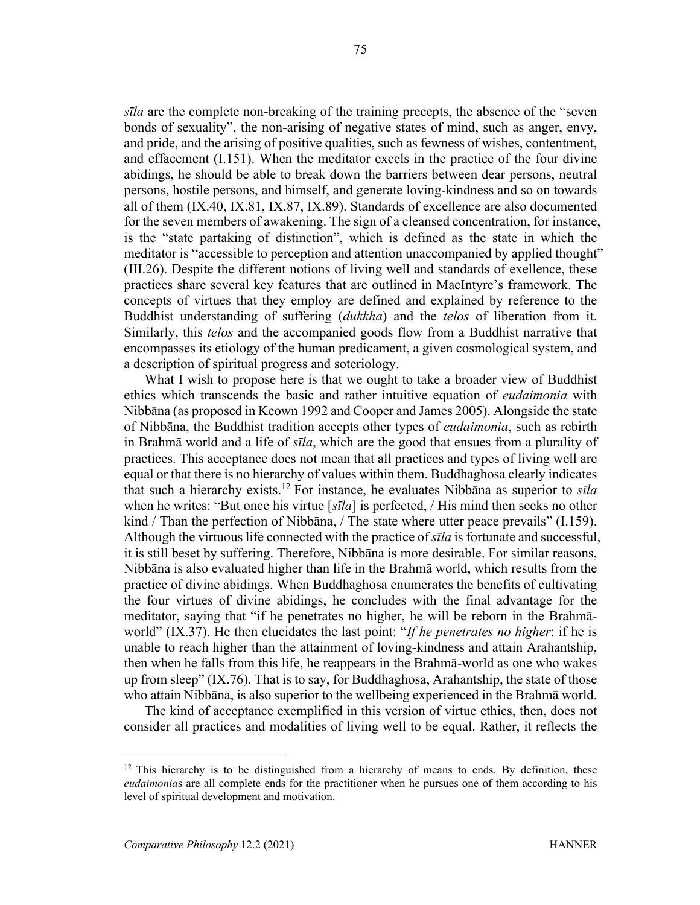*sīla* are the complete non-breaking of the training precepts, the absence of the "seven bonds of sexuality", the non-arising of negative states of mind, such as anger, envy, and pride, and the arising of positive qualities, such as fewness of wishes, contentment, and effacement (I.151). When the meditator excels in the practice of the four divine abidings, he should be able to break down the barriers between dear persons, neutral persons, hostile persons, and himself, and generate loving-kindness and so on towards all of them (IX.40, IX.81, IX.87, IX.89). Standards of excellence are also documented for the seven members of awakening. The sign of a cleansed concentration, for instance, is the "state partaking of distinction", which is defined as the state in which the meditator is "accessible to perception and attention unaccompanied by applied thought" (III.26). Despite the different notions of living well and standards of exellence, these practices share several key features that are outlined in MacIntyre's framework. The concepts of virtues that they employ are defined and explained by reference to the Buddhist understanding of suffering (*dukkha*) and the *telos* of liberation from it. Similarly, this *telos* and the accompanied goods flow from a Buddhist narrative that encompasses its etiology of the human predicament, a given cosmological system, and a description of spiritual progress and soteriology.

What I wish to propose here is that we ought to take a broader view of Buddhist ethics which transcends the basic and rather intuitive equation of *eudaimonia* with Nibbāna (as proposed in Keown 1992 and Cooper and James 2005). Alongside the state of Nibbāna, the Buddhist tradition accepts other types of *eudaimonia*, such as rebirth in Brahmā world and a life of *sīla*, which are the good that ensues from a plurality of practices. This acceptance does not mean that all practices and types of living well are equal or that there is no hierarchy of values within them. Buddhaghosa clearly indicates that such a hierarchy exists.12 For instance, he evaluates Nibbāna as superior to *sīla* when he writes: "But once his virtue [*sīla*] is perfected, / His mind then seeks no other kind / Than the perfection of Nibbāna, / The state where utter peace prevails" (I.159). Although the virtuous life connected with the practice of *sīla* is fortunate and successful, it is still beset by suffering. Therefore, Nibbāna is more desirable. For similar reasons, Nibbāna is also evaluated higher than life in the Brahmā world, which results from the practice of divine abidings. When Buddhaghosa enumerates the benefits of cultivating the four virtues of divine abidings, he concludes with the final advantage for the meditator, saying that "if he penetrates no higher, he will be reborn in the Brahmāworld" (IX.37). He then elucidates the last point: "*If he penetrates no higher*: if he is unable to reach higher than the attainment of loving-kindness and attain Arahantship, then when he falls from this life, he reappears in the Brahmā-world as one who wakes up from sleep" (IX.76). That is to say, for Buddhaghosa, Arahantship, the state of those who attain Nibbāna, is also superior to the wellbeing experienced in the Brahmā world.

The kind of acceptance exemplified in this version of virtue ethics, then, does not consider all practices and modalities of living well to be equal. Rather, it reflects the

 $12$  This hierarchy is to be distinguished from a hierarchy of means to ends. By definition, these *eudaimonia*s are all complete ends for the practitioner when he pursues one of them according to his level of spiritual development and motivation.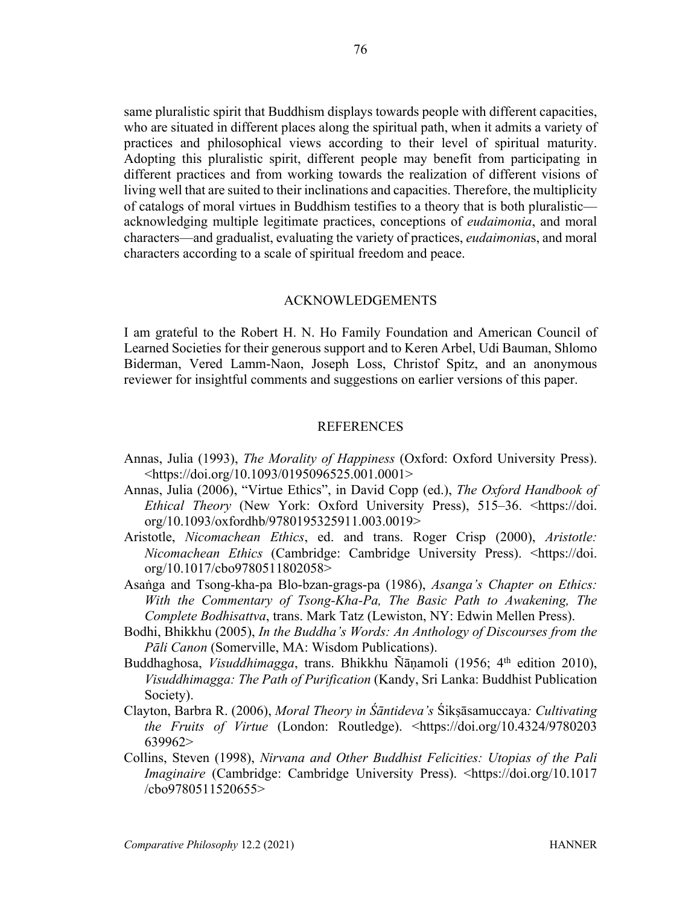same pluralistic spirit that Buddhism displays towards people with different capacities, who are situated in different places along the spiritual path, when it admits a variety of practices and philosophical views according to their level of spiritual maturity. Adopting this pluralistic spirit, different people may benefit from participating in different practices and from working towards the realization of different visions of living well that are suited to their inclinations and capacities. Therefore, the multiplicity of catalogs of moral virtues in Buddhism testifies to a theory that is both pluralistic acknowledging multiple legitimate practices, conceptions of *eudaimonia*, and moral characters—and gradualist, evaluating the variety of practices, *eudaimonia*s, and moral characters according to a scale of spiritual freedom and peace.

### ACKNOWLEDGEMENTS

I am grateful to the Robert H. N. Ho Family Foundation and American Council of Learned Societies for their generous support and to Keren Arbel, Udi Bauman, Shlomo Biderman, Vered Lamm-Naon, Joseph Loss, Christof Spitz, and an anonymous reviewer for insightful comments and suggestions on earlier versions of this paper.

### **REFERENCES**

- Annas, Julia (1993), *The Morality of Happiness* (Oxford: Oxford University Press). <https://doi.org/10.1093/0195096525.001.0001>
- Annas, Julia (2006), "Virtue Ethics", in David Copp (ed.), *The Oxford Handbook of Ethical Theory* (New York: Oxford University Press), 515–36. <https://doi. org/10.1093/oxfordhb/9780195325911.003.0019>
- Aristotle, *Nicomachean Ethics*, ed. and trans. Roger Crisp (2000), *Aristotle: Nicomachean Ethics* (Cambridge: Cambridge University Press). <https://doi. org/10.1017/cbo9780511802058>
- Asaṅga and Tsong-kha-pa Blo-bzan-grags-pa (1986), *Asanga's Chapter on Ethics: With the Commentary of Tsong-Kha-Pa, The Basic Path to Awakening, The Complete Bodhisattva*, trans. Mark Tatz (Lewiston, NY: Edwin Mellen Press).
- Bodhi, Bhikkhu (2005), *In the Buddha's Words: An Anthology of Discourses from the Pāli Canon* (Somerville, MA: Wisdom Publications).
- Buddhaghosa, *Visuddhimagga*, trans. Bhikkhu Ñānamoli (1956; 4<sup>th</sup> edition 2010), *Visuddhimagga: The Path of Purification* (Kandy, Sri Lanka: Buddhist Publication Society).
- Clayton, Barbra R. (2006), *Moral Theory in Śāntideva's* Śikṣāsamuccaya*: Cultivating the Fruits of Virtue* (London: Routledge). <https://doi.org/10.4324/9780203 639962>
- Collins, Steven (1998), *Nirvana and Other Buddhist Felicities: Utopias of the Pali Imaginaire* (Cambridge: Cambridge University Press). <https://doi.org/10.1017 /cbo9780511520655>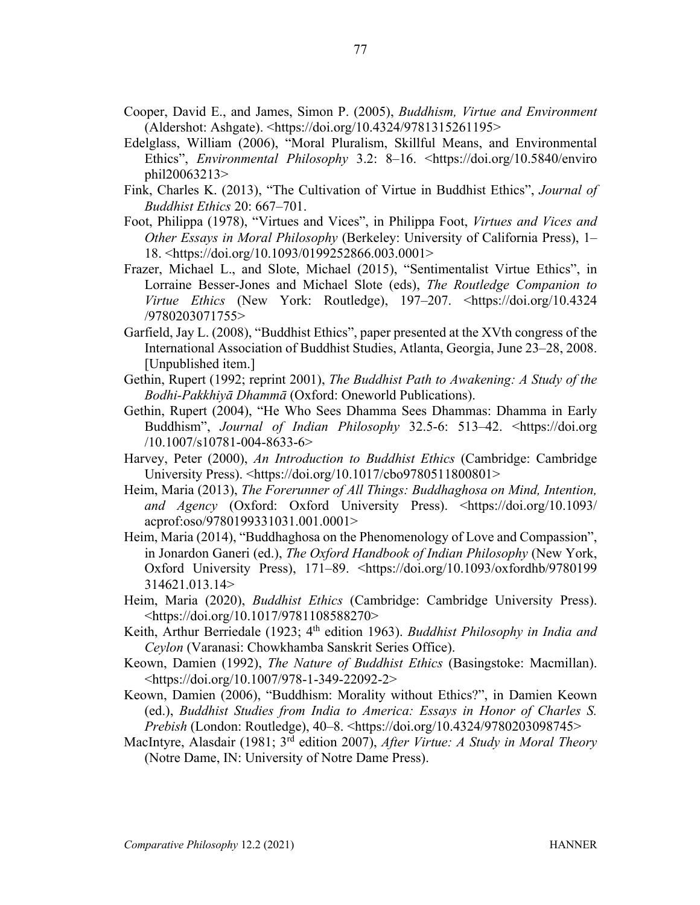- Cooper, David E., and James, Simon P. (2005), *Buddhism, Virtue and Environment* (Aldershot: Ashgate). <https://doi.org/10.4324/9781315261195>
- Edelglass, William (2006), "Moral Pluralism, Skillful Means, and Environmental Ethics", *Environmental Philosophy* 3.2: 8–16. <https://doi.org/10.5840/enviro phil20063213>
- Fink, Charles K. (2013), "The Cultivation of Virtue in Buddhist Ethics", *Journal of Buddhist Ethics* 20: 667–701.
- Foot, Philippa (1978), "Virtues and Vices", in Philippa Foot, *Virtues and Vices and Other Essays in Moral Philosophy* (Berkeley: University of California Press), 1– 18. <https://doi.org/10.1093/0199252866.003.0001>
- Frazer, Michael L., and Slote, Michael (2015), "Sentimentalist Virtue Ethics", in Lorraine Besser-Jones and Michael Slote (eds), *The Routledge Companion to Virtue Ethics* (New York: Routledge), 197–207. <https://doi.org/10.4324 /9780203071755>
- Garfield, Jay L. (2008), "Buddhist Ethics", paper presented at the XVth congress of the International Association of Buddhist Studies, Atlanta, Georgia, June 23–28, 2008. [Unpublished item.]
- Gethin, Rupert (1992; reprint 2001), *The Buddhist Path to Awakening: A Study of the Bodhi-Pakkhiyā Dhammā* (Oxford: Oneworld Publications).
- Gethin, Rupert (2004), "He Who Sees Dhamma Sees Dhammas: Dhamma in Early Buddhism", *Journal of Indian Philosophy* 32.5-6: 513–42. <https://doi.org /10.1007/s10781-004-8633-6>
- Harvey, Peter (2000), *An Introduction to Buddhist Ethics* (Cambridge: Cambridge University Press). <https://doi.org/10.1017/cbo9780511800801>
- Heim, Maria (2013), *The Forerunner of All Things: Buddhaghosa on Mind, Intention, and Agency* (Oxford: Oxford University Press). <https://doi.org/10.1093/ acprof:oso/9780199331031.001.0001>
- Heim, Maria (2014), "Buddhaghosa on the Phenomenology of Love and Compassion", in Jonardon Ganeri (ed.), *The Oxford Handbook of Indian Philosophy* (New York, Oxford University Press), 171–89. <https://doi.org/10.1093/oxfordhb/9780199 314621.013.14>
- Heim, Maria (2020), *Buddhist Ethics* (Cambridge: Cambridge University Press). <https://doi.org/10.1017/9781108588270>
- Keith, Arthur Berriedale (1923; 4th edition 1963). *Buddhist Philosophy in India and Ceylon* (Varanasi: Chowkhamba Sanskrit Series Office).
- Keown, Damien (1992), *The Nature of Buddhist Ethics* (Basingstoke: Macmillan). <https://doi.org/10.1007/978-1-349-22092-2>
- Keown, Damien (2006), "Buddhism: Morality without Ethics?", in Damien Keown (ed.), *Buddhist Studies from India to America: Essays in Honor of Charles S. Prebish* (London: Routledge), 40–8. <https://doi.org/10.4324/9780203098745>
- MacIntyre, Alasdair (1981; 3rd edition 2007), *After Virtue: A Study in Moral Theory* (Notre Dame, IN: University of Notre Dame Press).